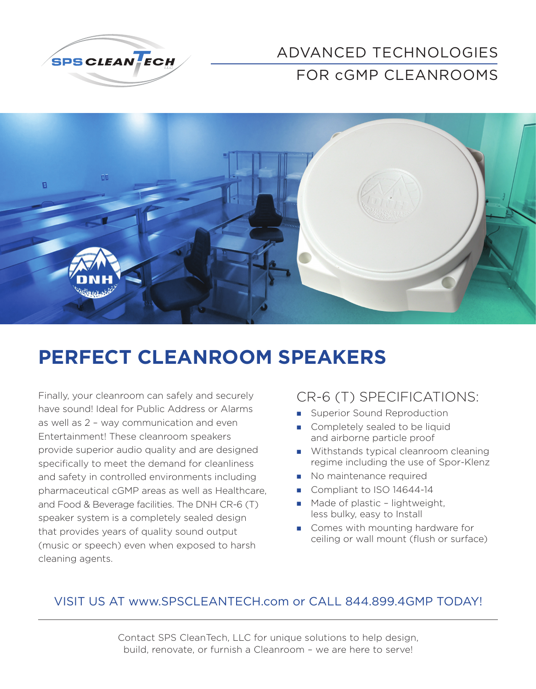

### ADVANCED TECHNOLOGIES FOR cGMP CLEANROOMS



## **PERFECT CLEANROOM SPEAKERS**

Finally, your cleanroom can safely and securely have sound! Ideal for Public Address or Alarms as well as 2 – way communication and even Entertainment! These cleanroom speakers provide superior audio quality and are designed specifically to meet the demand for cleanliness and safety in controlled environments including pharmaceutical cGMP areas as well as Healthcare, and Food & Beverage facilities. The DNH CR-6 (T) speaker system is a completely sealed design that provides years of quality sound output (music or speech) even when exposed to harsh cleaning agents.

### CR-6 (T) SPECIFICATIONS:

- **Superior Sound Reproduction**
- Completely sealed to be liquid and airborne particle proof
- **Withstands typical cleanroom cleaning** regime including the use of Spor-Klenz
- No maintenance required
- Compliant to ISO 14644-14
- **Made of plastic lightweight,** less bulky, easy to Install
- Comes with mounting hardware for ceiling or wall mount (flush or surface)

#### VISIT US AT www.SPSCLEANTECH.com or CALL 844.899.4GMP TODAY!

Contact SPS CleanTech, LLC for unique solutions to help design, build, renovate, or furnish a Cleanroom – we are here to serve!